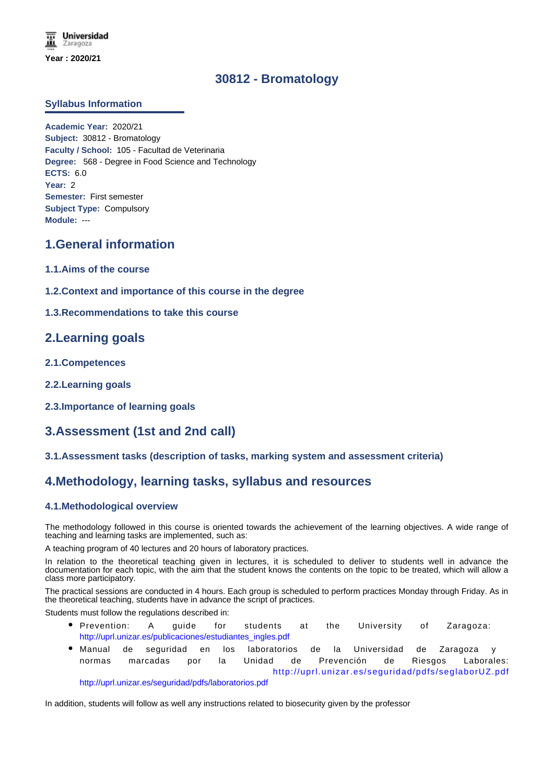# **30812 - Bromatology**

### **Syllabus Information**

**Academic Year:** 2020/21 **Subject:** 30812 - Bromatology **Faculty / School:** 105 - Facultad de Veterinaria **Degree:** 568 - Degree in Food Science and Technology **ECTS:** 6.0 **Year:** 2 **Semester:** First semester **Subject Type:** Compulsory **Module:** ---

# **1.General information**

- **1.1.Aims of the course**
- **1.2.Context and importance of this course in the degree**
- **1.3.Recommendations to take this course**

# **2.Learning goals**

- **2.1.Competences**
- **2.2.Learning goals**
- **2.3.Importance of learning goals**

# **3.Assessment (1st and 2nd call)**

### **3.1.Assessment tasks (description of tasks, marking system and assessment criteria)**

# **4.Methodology, learning tasks, syllabus and resources**

### **4.1.Methodological overview**

The methodology followed in this course is oriented towards the achievement of the learning objectives. A wide range of teaching and learning tasks are implemented, such as:

A teaching program of 40 lectures and 20 hours of laboratory practices.

In relation to the theoretical teaching given in lectures, it is scheduled to deliver to students well in advance the documentation for each topic, with the aim that the student knows the contents on the topic to be treated, which will allow a class more participatory.

The practical sessions are conducted in 4 hours. Each group is scheduled to perform practices Monday through Friday. As in the theoretical teaching, students have in advance the script of practices.

Students must follow the regulations described in:

- Prevention: A guide for students at the University of Zaragoza: http://uprl.unizar.es/publicaciones/estudiantes\_ingles.pdf
- Manual de seguridad en los laboratorios de la Universidad de Zaragoza y normas marcadas por la Unidad de Prevención de Riesgos Laborales: http://uprl.unizar.es/seguridad/pdfs/seglaborUZ.pdf

http://uprl.unizar.es/seguridad/pdfs/laboratorios.pdf

In addition, students will follow as well any instructions related to biosecurity given by the professor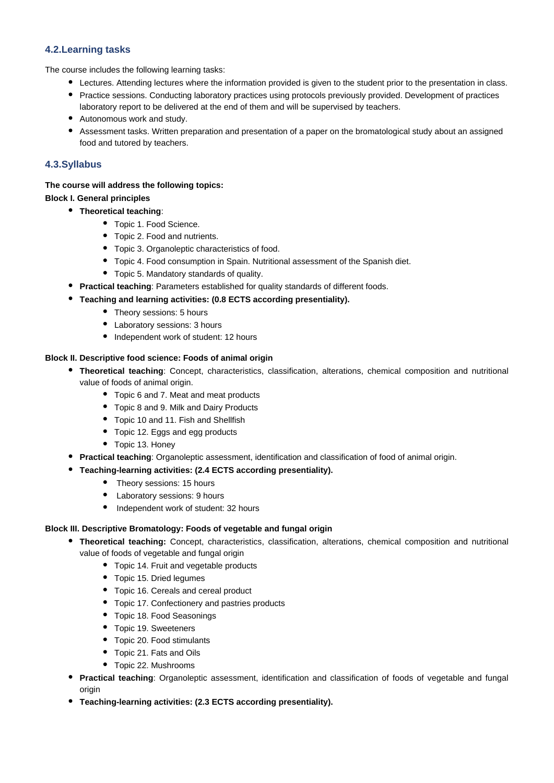# **4.2.Learning tasks**

The course includes the following learning tasks:

- Lectures. Attending lectures where the information provided is given to the student prior to the presentation in class.
- Practice sessions. Conducting laboratory practices using protocols previously provided. Development of practices laboratory report to be delivered at the end of them and will be supervised by teachers.
- Autonomous work and study.
- Assessment tasks. Written preparation and presentation of a paper on the bromatological study about an assigned food and tutored by teachers.

# **4.3.Syllabus**

## **The course will address the following topics:**

# **Block I. General principles**

- **Theoretical teaching**:
	- Topic 1. Food Science.
	- Topic 2. Food and nutrients.
	- Topic 3. Organoleptic characteristics of food.
	- Topic 4. Food consumption in Spain. Nutritional assessment of the Spanish diet.
	- Topic 5. Mandatory standards of quality.
	- **Practical teaching**: Parameters established for quality standards of different foods.
	- **Teaching and learning activities: (0.8 ECTS according presentiality).**
		- Theory sessions: 5 hours
		- Laboratory sessions: 3 hours
		- Independent work of student: 12 hours

#### **Block II. Descriptive food science: Foods of animal origin**

- **Theoretical teaching**: Concept, characteristics, classification, alterations, chemical composition and nutritional value of foods of animal origin.
	- Topic 6 and 7. Meat and meat products
	- Topic 8 and 9. Milk and Dairy Products
	- Topic 10 and 11. Fish and Shellfish
	- Topic 12. Eggs and egg products
	- Topic 13. Honey
- **Practical teaching:** Organoleptic assessment, identification and classification of food of animal origin.
- **Teaching-learning activities: (2.4 ECTS according presentiality).**
	- Theory sessions: 15 hours
	- Laboratory sessions: 9 hours
	- Independent work of student: 32 hours

#### **Block III. Descriptive Bromatology: Foods of vegetable and fungal origin**

- **Theoretical teaching:** Concept, characteristics, classification, alterations, chemical composition and nutritional value of foods of vegetable and fungal origin
	- Topic 14. Fruit and vegetable products
	- Topic 15. Dried legumes
	- Topic 16. Cereals and cereal product
	- Topic 17. Confectionery and pastries products
	- Topic 18. Food Seasonings
	- Topic 19. Sweeteners
	- Topic 20. Food stimulants
	- Topic 21. Fats and Oils
	- Topic 22. Mushrooms
- **Practical teaching**: Organoleptic assessment, identification and classification of foods of vegetable and fungal origin
- **Teaching-learning activities: (2.3 ECTS according presentiality).**